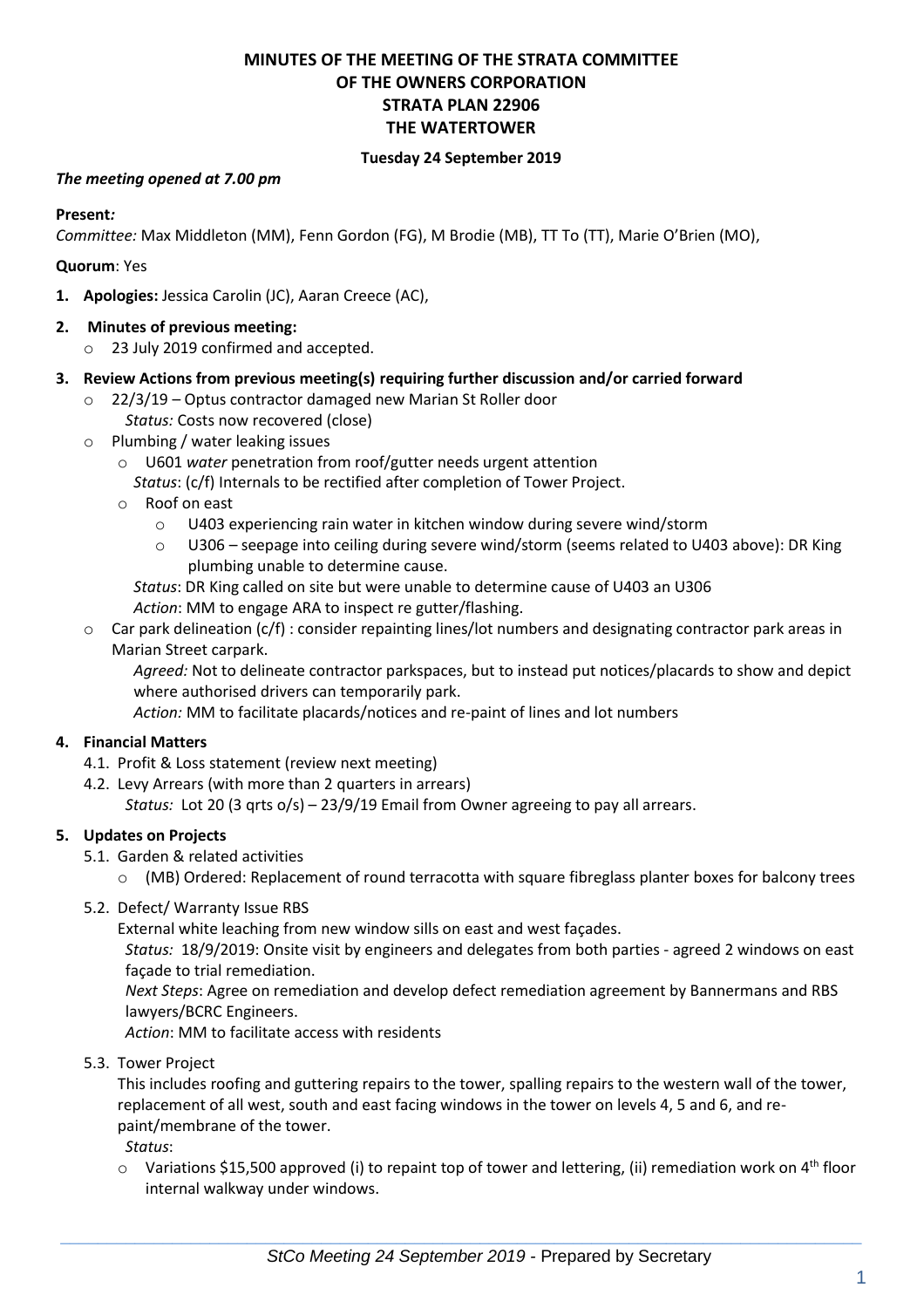# **MINUTES OF THE MEETING OF THE STRATA COMMITTEE OF THE OWNERS CORPORATION STRATA PLAN 22906 THE WATERTOWER**

#### **Tuesday 24 September 2019**

#### *The meeting opened at 7.00 pm*

#### **Present***:*

*Committee:* Max Middleton (MM), Fenn Gordon (FG), M Brodie (MB), TT To (TT), Marie O'Brien (MO),

**Quorum**: Yes

**1. Apologies:** Jessica Carolin (JC), Aaran Creece (AC),

#### **2. Minutes of previous meeting:**

o 23 July 2019 confirmed and accepted.

### **3. Review Actions from previous meeting(s) requiring further discussion and/or carried forward**

- o 22/3/19 Optus contractor damaged new Marian St Roller door *Status:* Costs now recovered (close)
- o Plumbing / water leaking issues
	- o U601 *water* penetration from roof/gutter needs urgent attention
		- *Status*: (c/f) Internals to be rectified after completion of Tower Project.
	- o Roof on east
		- o U403 experiencing rain water in kitchen window during severe wind/storm
		- o U306 seepage into ceiling during severe wind/storm (seems related to U403 above): DR King plumbing unable to determine cause.

*Status*: DR King called on site but were unable to determine cause of U403 an U306 *Action*: MM to engage ARA to inspect re gutter/flashing.

o Car park delineation (c/f) : consider repainting lines/lot numbers and designating contractor park areas in Marian Street carpark.

*Agreed:* Not to delineate contractor parkspaces, but to instead put notices/placards to show and depict where authorised drivers can temporarily park.

*Action:* MM to facilitate placards/notices and re-paint of lines and lot numbers

### **4. Financial Matters**

- 4.1. Profit & Loss statement (review next meeting)
- 4.2. Levy Arrears (with more than 2 quarters in arrears)

*Status:* Lot 20 (3 qrts o/s) – 23/9/19 Email from Owner agreeing to pay all arrears.

### **5. Updates on Projects**

- 5.1. Garden & related activities
	- $\circ$  (MB) Ordered: Replacement of round terracotta with square fibreglass planter boxes for balcony trees
- 5.2. Defect/ Warranty Issue RBS

External white leaching from new window sills on east and west façades.

*Status:* 18/9/2019: Onsite visit by engineers and delegates from both parties - agreed 2 windows on east façade to trial remediation.

*Next Steps*: Agree on remediation and develop defect remediation agreement by Bannermans and RBS lawyers/BCRC Engineers.

*Action*: MM to facilitate access with residents

5.3. Tower Project

This includes roofing and guttering repairs to the tower, spalling repairs to the western wall of the tower, replacement of all west, south and east facing windows in the tower on levels 4, 5 and 6, and repaint/membrane of the tower.

*Status*:

o Variations \$15,500 approved (i) to repaint top of tower and lettering, (ii) remediation work on 4<sup>th</sup> floor internal walkway under windows.

 $\_$  , and the set of the set of the set of the set of the set of the set of the set of the set of the set of the set of the set of the set of the set of the set of the set of the set of the set of the set of the set of th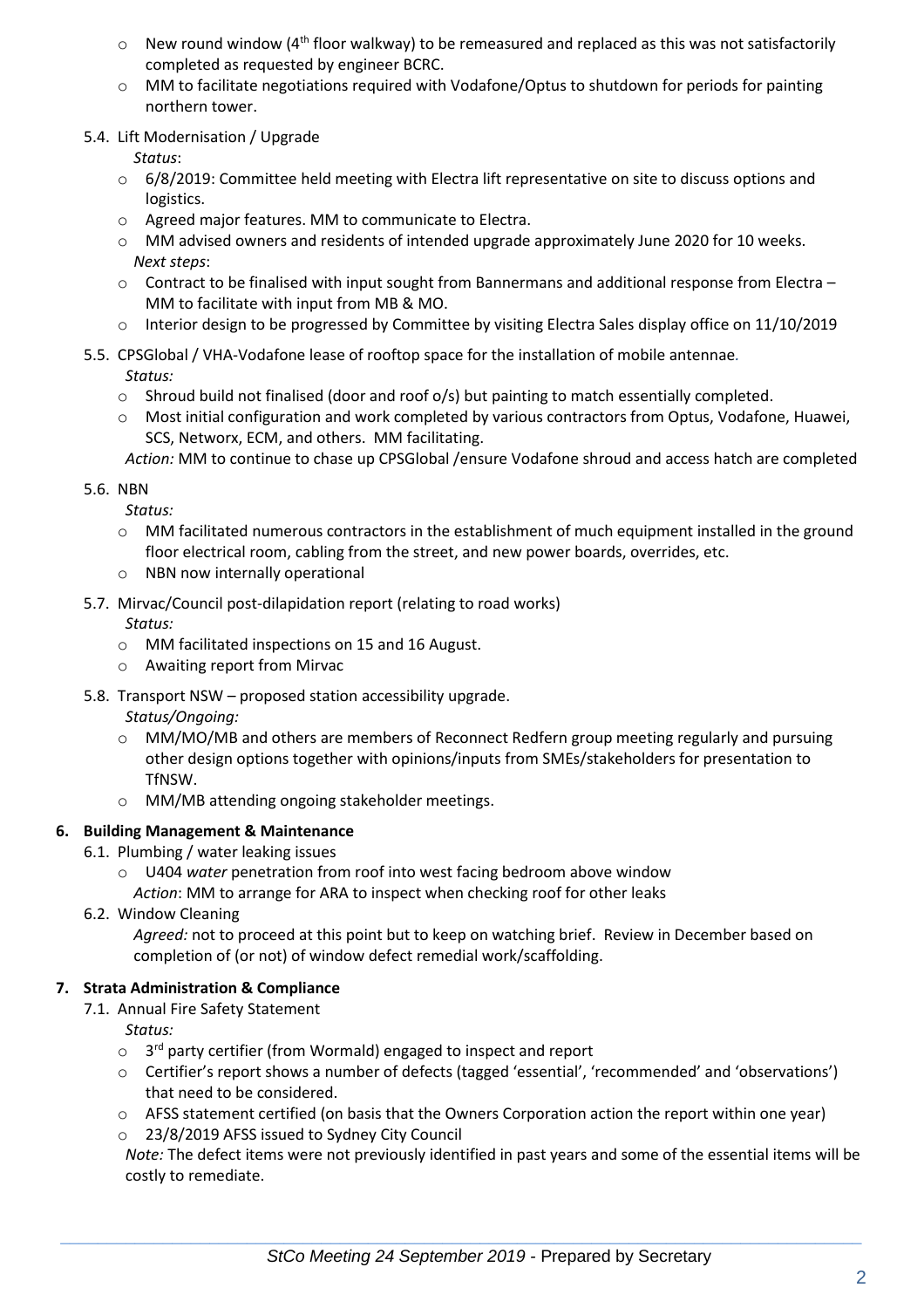- $\circ$  New round window (4<sup>th</sup> floor walkway) to be remeasured and replaced as this was not satisfactorily completed as requested by engineer BCRC.
- o MM to facilitate negotiations required with Vodafone/Optus to shutdown for periods for painting northern tower.
- 5.4. Lift Modernisation / Upgrade

*Status*:

- o 6/8/2019: Committee held meeting with Electra lift representative on site to discuss options and logistics.
- o Agreed major features. MM to communicate to Electra.
- o MM advised owners and residents of intended upgrade approximately June 2020 for 10 weeks. *Next steps*:
- $\circ$  Contract to be finalised with input sought from Bannermans and additional response from Electra MM to facilitate with input from MB & MO.
- $\circ$  Interior design to be progressed by Committee by visiting Electra Sales display office on 11/10/2019
- 5.5. CPSGlobal / VHA-Vodafone lease of rooftop space for the installation of mobile antennae*.*

*Status:* 

- $\circ$  Shroud build not finalised (door and roof o/s) but painting to match essentially completed.
- o Most initial configuration and work completed by various contractors from Optus, Vodafone, Huawei, SCS, Networx, ECM, and others. MM facilitating.

*Action:* MM to continue to chase up CPSGlobal /ensure Vodafone shroud and access hatch are completed

# 5.6. NBN

- *Status:* 
	- $\circ$  MM facilitated numerous contractors in the establishment of much equipment installed in the ground floor electrical room, cabling from the street, and new power boards, overrides, etc.
	- o NBN now internally operational
- 5.7. Mirvac/Council post-dilapidation report (relating to road works)

*Status:*

- o MM facilitated inspections on 15 and 16 August.
- o Awaiting report from Mirvac
- 5.8. Transport NSW proposed station accessibility upgrade.

*Status/Ongoing:*

- o MM/MO/MB and others are members of Reconnect Redfern group meeting regularly and pursuing other design options together with opinions/inputs from SMEs/stakeholders for presentation to TfNSW.
- MM/MB attending ongoing stakeholder meetings.

# **6. Building Management & Maintenance**

- 6.1. Plumbing / water leaking issues
	- o U404 *water* penetration from roof into west facing bedroom above window
	- *Action*: MM to arrange for ARA to inspect when checking roof for other leaks
- 6.2. Window Cleaning

*Agreed:* not to proceed at this point but to keep on watching brief. Review in December based on completion of (or not) of window defect remedial work/scaffolding.

# **7. Strata Administration & Compliance**

7.1. Annual Fire Safety Statement

*Status:* 

- $\circ$  3<sup>rd</sup> party certifier (from Wormald) engaged to inspect and report
- o Certifier's report shows a number of defects (tagged 'essential', 'recommended' and 'observations') that need to be considered.
- o AFSS statement certified (on basis that the Owners Corporation action the report within one year)
- o 23/8/2019 AFSS issued to Sydney City Council

*Note:* The defect items were not previously identified in past years and some of the essential items will be costly to remediate.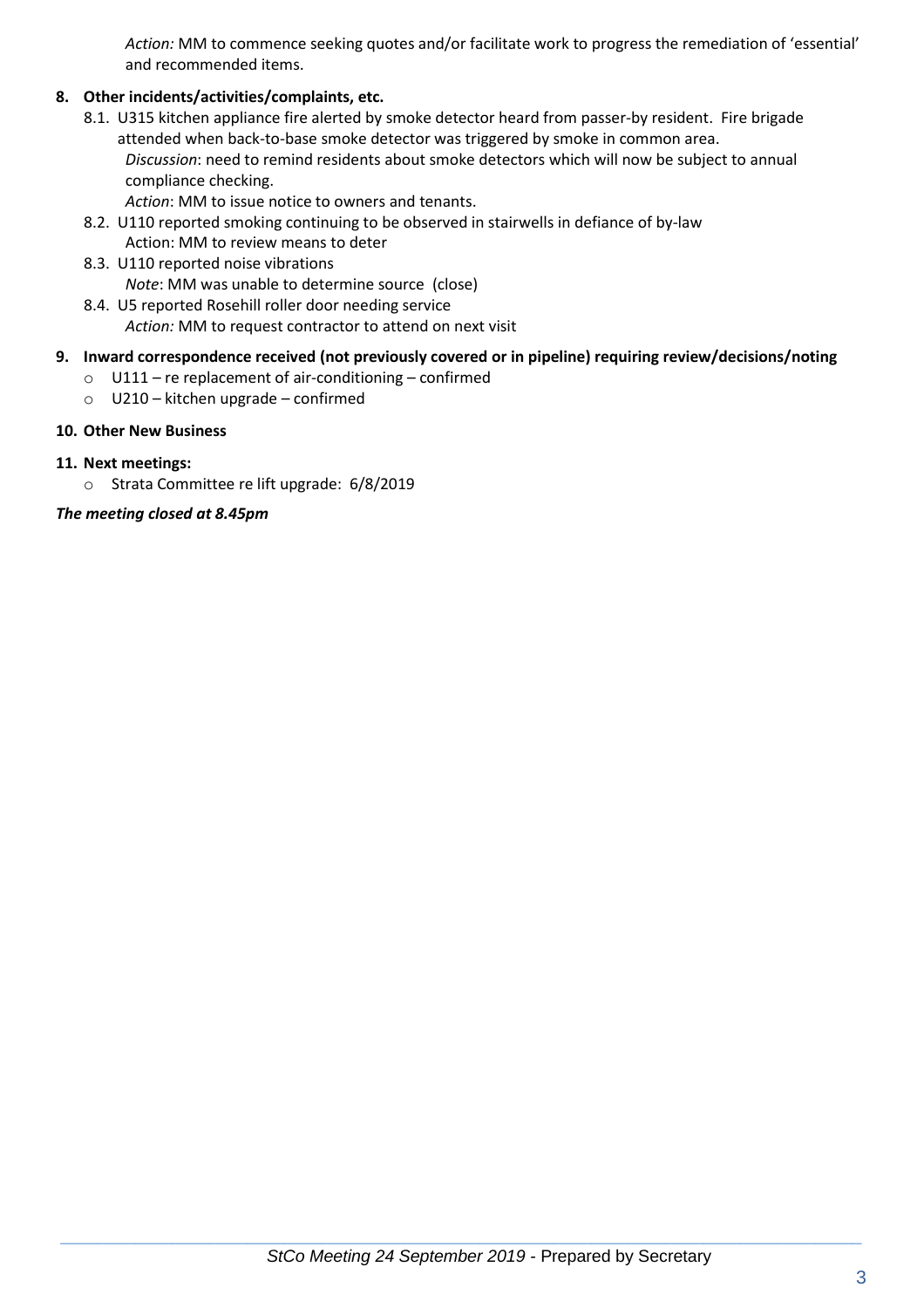*Action:* MM to commence seeking quotes and/or facilitate work to progress the remediation of 'essential' and recommended items.

# **8. Other incidents/activities/complaints, etc.**

- 8.1. U315 kitchen appliance fire alerted by smoke detector heard from passer-by resident. Fire brigade attended when back-to-base smoke detector was triggered by smoke in common area. *Discussion*: need to remind residents about smoke detectors which will now be subject to annual compliance checking.
	- *Action*: MM to issue notice to owners and tenants.
- 8.2. U110 reported smoking continuing to be observed in stairwells in defiance of by-law Action: MM to review means to deter
- 8.3. U110 reported noise vibrations *Note*: MM was unable to determine source (close)
- 8.4. U5 reported Rosehill roller door needing service

*Action:* MM to request contractor to attend on next visit

# **9. Inward correspondence received (not previously covered or in pipeline) requiring review/decisions/noting**

- o U111 re replacement of air-conditioning confirmed
- o U210 kitchen upgrade confirmed

### **10. Other New Business**

**11. Next meetings:** 

o Strata Committee re lift upgrade: 6/8/2019

### *The meeting closed at 8.45pm*

 $\_$  , and the set of the set of the set of the set of the set of the set of the set of the set of the set of the set of the set of the set of the set of the set of the set of the set of the set of the set of the set of th